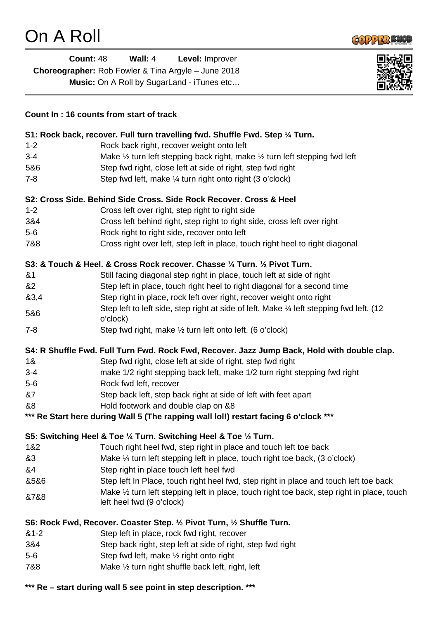L.



|           | SULLE LILVEER                                                                                                            |  |
|-----------|--------------------------------------------------------------------------------------------------------------------------|--|
| Count: 48 | Wall: 4<br>Level: Improver                                                                                               |  |
|           | Choreographer: Rob Fowler & Tina Argyle - June 2018                                                                      |  |
|           | Music: On A Roll by SugarLand - iTunes etc                                                                               |  |
|           |                                                                                                                          |  |
|           | Count In: 16 counts from start of track                                                                                  |  |
|           | S1: Rock back, recover. Full turn travelling fwd. Shuffle Fwd. Step 1/4 Turn.                                            |  |
| $1 - 2$   | Rock back right, recover weight onto left                                                                                |  |
| $3 - 4$   | Make 1/2 turn left stepping back right, make 1/2 turn left stepping fwd left                                             |  |
| 5&6       | Step fwd right, close left at side of right, step fwd right                                                              |  |
| $7 - 8$   | Step fwd left, make 1/4 turn right onto right (3 o'clock)                                                                |  |
|           | S2: Cross Side. Behind Side Cross. Side Rock Recover. Cross & Heel                                                       |  |
| $1 - 2$   | Cross left over right, step right to right side                                                                          |  |
| 3&4       | Cross left behind right, step right to right side, cross left over right                                                 |  |
| $5-6$     | Rock right to right side, recover onto left                                                                              |  |
| 7&8       | Cross right over left, step left in place, touch right heel to right diagonal                                            |  |
|           | S3: & Touch & Heel. & Cross Rock recover. Chasse 1/4 Turn. 1/2 Pivot Turn.                                               |  |
| &1        | Still facing diagonal step right in place, touch left at side of right                                                   |  |
| &2        | Step left in place, touch right heel to right diagonal for a second time                                                 |  |
| 83,4      | Step right in place, rock left over right, recover weight onto right                                                     |  |
|           | Step left to left side, step right at side of left. Make 1/4 left stepping fwd left. (12                                 |  |
| 5&6       | o'clock)                                                                                                                 |  |
| $7 - 8$   | Step fwd right, make 1/2 turn left onto left. (6 o'clock)                                                                |  |
|           | S4: R Shuffle Fwd. Full Turn Fwd. Rock Fwd, Recover. Jazz Jump Back, Hold with double clap.                              |  |
| 1&        | Step fwd right, close left at side of right, step fwd right                                                              |  |
| $3 - 4$   | make 1/2 right stepping back left, make 1/2 turn right stepping fwd right                                                |  |
| $5-6$     | Rock fwd left, recover                                                                                                   |  |
| &7        | Step back left, step back right at side of left with feet apart                                                          |  |
| &8        | Hold footwork and double clap on &8                                                                                      |  |
|           | *** Re Start here during Wall 5 (The rapping wall lol!) restart facing 6 o'clock ***                                     |  |
|           | S5: Switching Heel & Toe 1/4 Turn. Switching Heel & Toe 1/2 Turn.                                                        |  |
| 1&2       | Touch right heel fwd, step right in place and touch left toe back                                                        |  |
| &3        | Make 1/4 turn left stepping left in place, touch right toe back, (3 o'clock)                                             |  |
| &4        | Step right in place touch left heel fwd                                                                                  |  |
| 8586      | Step left In Place, touch right heel fwd, step right in place and touch left toe back                                    |  |
| &7&8      | Make 1/2 turn left stepping left in place, touch right toe back, step right in place, touch<br>left heel fwd (9 o'clock) |  |
|           | S6: Rock Fwd, Recover. Coaster Step. 1/2 Pivot Turn, 1/2 Shuffle Turn.                                                   |  |
| $&1 - 2$  | Step left in place, rock fwd right, recover                                                                              |  |
| 3&4       | Step back right, step left at side of right, step fwd right                                                              |  |
| $5-6$     | Step fwd left, make 1/2 right onto right                                                                                 |  |
| 7&8       | Make 1/2 turn right shuffle back left, right, left                                                                       |  |
|           | *** Re - start during wall 5 see point in step description. ***                                                          |  |